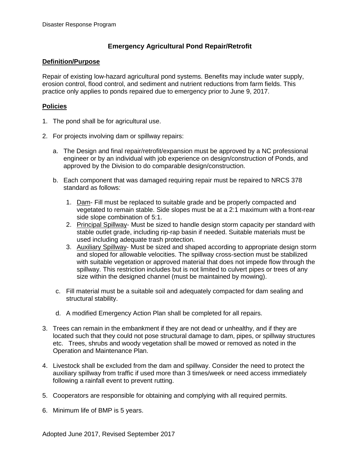## **Emergency Agricultural Pond Repair/Retrofit**

## **Definition/Purpose**

Repair of existing low-hazard agricultural pond systems. Benefits may include water supply, erosion control, flood control, and sediment and nutrient reductions from farm fields. This practice only applies to ponds repaired due to emergency prior to June 9, 2017.

## **Policies**

- 1. The pond shall be for agricultural use.
- 2. For projects involving dam or spillway repairs:
	- a. The Design and final repair/retrofit/expansion must be approved by a NC professional engineer or by an individual with job experience on design/construction of Ponds, and approved by the Division to do comparable design/construction.
	- b. Each component that was damaged requiring repair must be repaired to NRCS 378 standard as follows:
		- 1. Dam- Fill must be replaced to suitable grade and be properly compacted and vegetated to remain stable. Side slopes must be at a 2:1 maximum with a front-rear side slope combination of 5:1.
		- 2. Principal Spillway- Must be sized to handle design storm capacity per standard with stable outlet grade, including rip-rap basin if needed. Suitable materials must be used including adequate trash protection.
		- 3. Auxiliary Spillway- Must be sized and shaped according to appropriate design storm and sloped for allowable velocities. The spillway cross-section must be stabilized with suitable vegetation or approved material that does not impede flow through the spillway. This restriction includes but is not limited to culvert pipes or trees of any size within the designed channel (must be maintained by mowing).
	- c. Fill material must be a suitable soil and adequately compacted for dam sealing and structural stability.
	- d. A modified Emergency Action Plan shall be completed for all repairs.
- 3. Trees can remain in the embankment if they are not dead or unhealthy, and if they are located such that they could not pose structural damage to dam, pipes, or spillway structures etc. Trees, shrubs and woody vegetation shall be mowed or removed as noted in the Operation and Maintenance Plan.
- 4. Livestock shall be excluded from the dam and spillway. Consider the need to protect the auxiliary spillway from traffic if used more than 3 times/week or need access immediately following a rainfall event to prevent rutting.
- 5. Cooperators are responsible for obtaining and complying with all required permits.
- 6. Minimum life of BMP is 5 years.